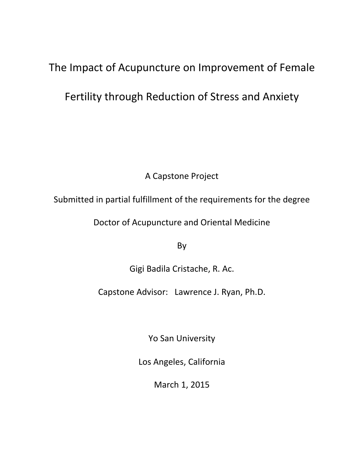# The Impact of Acupuncture on Improvement of Female

# Fertility through Reduction of Stress and Anxiety

A Capstone Project

Submitted in partial fulfillment of the requirements for the degree

Doctor of Acupuncture and Oriental Medicine

By

Gigi Badila Cristache, R. Ac.

Capstone Advisor: Lawrence J. Ryan, Ph.D.

Yo San University

Los Angeles, California

March 1, 2015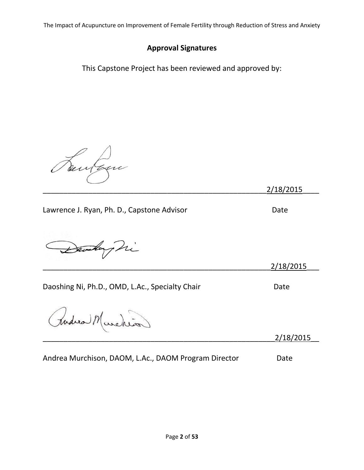## **Approval Signatures**

This Capstone Project has been reviewed and approved by:

Bentagn

\_\_\_\_\_\_\_\_\_\_\_\_\_\_\_\_\_\_\_\_\_\_\_\_\_\_\_\_\_\_\_\_\_\_\_\_\_\_\_\_\_\_\_\_\_\_\_\_\_\_\_\_\_\_2/18/2015\_\_\_\_

Lawrence J. Ryan, Ph. D., Capstone Advisor **Date** 

Danskaphi

\_\_\_\_\_\_\_\_\_\_\_\_\_\_\_\_\_\_\_\_\_\_\_\_\_\_\_\_\_\_\_\_\_\_\_\_\_\_\_\_\_\_\_\_\_\_\_\_\_\_\_\_\_\_\_2/18/2015\_\_\_

Daoshing Ni, Ph.D., OMD, L.Ac., Specialty Chair **Date** Date

Rudica Murchios

\_\_\_\_\_\_\_\_\_\_\_\_\_\_\_\_\_\_\_\_\_\_\_\_\_\_\_\_\_\_\_\_\_\_\_\_\_\_\_\_\_\_\_\_\_\_\_\_\_\_\_\_\_\_\_\_2/18/2015\_\_

|  | Andrea Murchison, DAOM, L.Ac., DAOM Program Director |  |  |  | Date |
|--|------------------------------------------------------|--|--|--|------|
|--|------------------------------------------------------|--|--|--|------|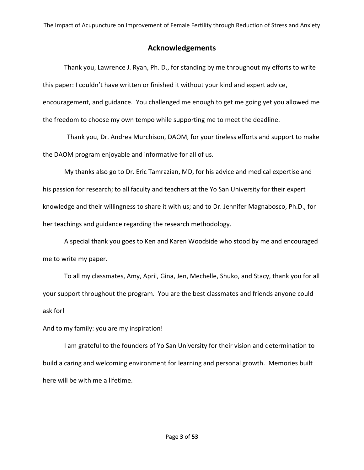### **Acknowledgements**

Thank you, Lawrence J. Ryan, Ph. D., for standing by me throughout my efforts to write this paper: I couldn't have written or finished it without your kind and expert advice, encouragement, and guidance. You challenged me enough to get me going yet you allowed me the freedom to choose my own tempo while supporting me to meet the deadline.

 Thank you, Dr. Andrea Murchison, DAOM, for your tireless efforts and support to make the DAOM program enjoyable and informative for all of us.

My thanks also go to Dr. Eric Tamrazian, MD, for his advice and medical expertise and his passion for research; to all faculty and teachers at the Yo San University for their expert knowledge and their willingness to share it with us; and to Dr. Jennifer Magnabosco, Ph.D., for her teachings and guidance regarding the research methodology.

A special thank you goes to Ken and Karen Woodside who stood by me and encouraged me to write my paper.

To all my classmates, Amy, April, Gina, Jen, Mechelle, Shuko, and Stacy, thank you for all your support throughout the program. You are the best classmates and friends anyone could ask for!

And to my family: you are my inspiration!

I am grateful to the founders of Yo San University for their vision and determination to build a caring and welcoming environment for learning and personal growth. Memories built here will be with me a lifetime.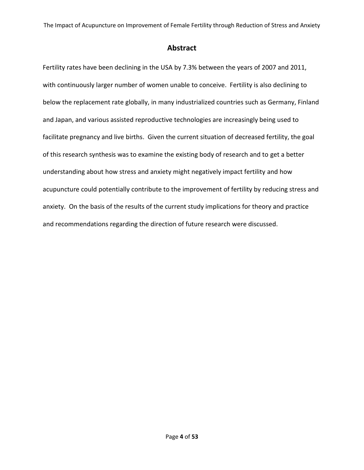### **Abstract**

Fertility rates have been declining in the USA by 7.3% between the years of 2007 and 2011, with continuously larger number of women unable to conceive. Fertility is also declining to below the replacement rate globally, in many industrialized countries such as Germany, Finland and Japan, and various assisted reproductive technologies are increasingly being used to facilitate pregnancy and live births. Given the current situation of decreased fertility, the goal of this research synthesis was to examine the existing body of research and to get a better understanding about how stress and anxiety might negatively impact fertility and how acupuncture could potentially contribute to the improvement of fertility by reducing stress and anxiety. On the basis of the results of the current study implications for theory and practice and recommendations regarding the direction of future research were discussed.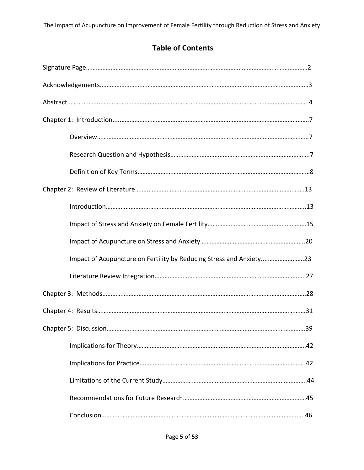# **Table of Contents**

| Impact of Acupuncture on Fertility by Reducing Stress and Anxiety23 |
|---------------------------------------------------------------------|
|                                                                     |
|                                                                     |
|                                                                     |
| 39                                                                  |
|                                                                     |
|                                                                     |
|                                                                     |
|                                                                     |
|                                                                     |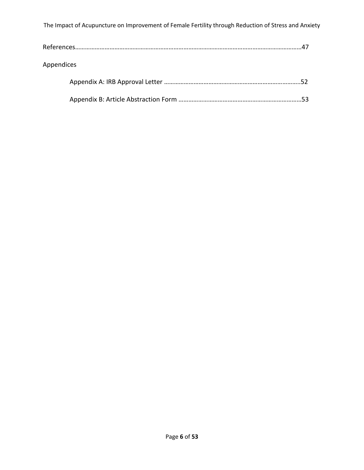| Appendices |  |
|------------|--|
|            |  |
|            |  |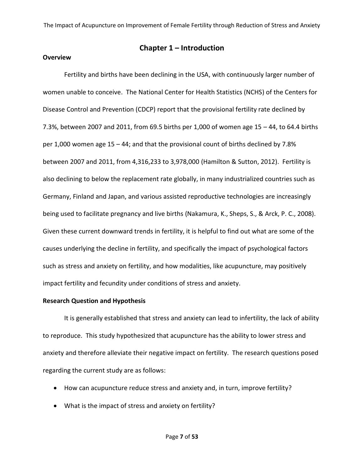### **Chapter 1 – Introduction**

#### **Overview**

Fertility and births have been declining in the USA, with continuously larger number of women unable to conceive. The National Center for Health Statistics (NCHS) of the Centers for Disease Control and Prevention (CDCP) report that the provisional fertility rate declined by 7.3%, between 2007 and 2011, from 69.5 births per 1,000 of women age 15 – 44, to 64.4 births per 1,000 women age 15 – 44; and that the provisional count of births declined by 7.8% between 2007 and 2011, from 4,316,233 to 3,978,000 (Hamilton & Sutton, 2012). Fertility is also declining to below the replacement rate globally, in many industrialized countries such as Germany, Finland and Japan, and various assisted reproductive technologies are increasingly being used to facilitate pregnancy and live births (Nakamura, K., Sheps, S., & Arck, P. C., 2008). Given these current downward trends in fertility, it is helpful to find out what are some of the causes underlying the decline in fertility, and specifically the impact of psychological factors such as stress and anxiety on fertility, and how modalities, like acupuncture, may positively impact fertility and fecundity under conditions of stress and anxiety.

### **Research Question and Hypothesis**

It is generally established that stress and anxiety can lead to infertility, the lack of ability to reproduce. This study hypothesized that acupuncture has the ability to lower stress and anxiety and therefore alleviate their negative impact on fertility. The research questions posed regarding the current study are as follows:

- How can acupuncture reduce stress and anxiety and, in turn, improve fertility?
- What is the impact of stress and anxiety on fertility?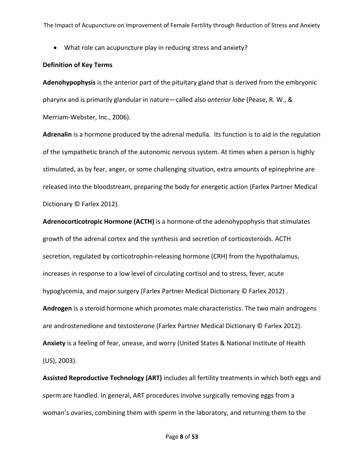What role can acupuncture play in reducing stress and anxiety?

### **Definition of Key Terms**

**Adenohypophysis** is the anterior part of the pituitary gland that is derived from the embryonic pharynx and is primarily glandular in nature—called also *anterior lobe* (Pease, R. W., & Merriam-Webster, Inc., 2006).

**Adrenalin** is a hormone produced by the adrenal medulla. Its function is to aid in the regulation of the sympathetic branch of the autonomic nervous system. At times when a person is highly stimulated, as by fear, anger, or some challenging situation, extra amounts of epinephrine are released into the bloodstream, preparing the body for energetic action (Farlex Partner Medical Dictionary © Farlex 2012).

**Adrenocorticotropic Hormone (ACTH)** is a hormone of the adenohypophysis that stimulates growth of the adrenal cortex and the synthesis and secretion of corticosteroids. ACTH secretion, regulated by corticotrophin-releasing hormone (CRH) from the hypothalamus, increases in response to a low level of circulating cortisol and to stress, fever, acute hypoglycemia, and major surgery (Farlex Partner Medical Dictionary © Farlex 2012) . **Androgen** is a steroid hormone which promotes male characteristics. The two main androgens are androstenedione and testosterone (Farlex Partner Medical Dictionary © Farlex 2012). **Anxiety** is a feeling of fear, unease, and worry (United States & National Institute of Health (US), 2003).

**Assisted Reproductive Technology (ART)** includes all fertility treatments in which both eggs and sperm are handled. In general, ART procedures involve surgically removing eggs from a woman's ovaries, combining them with sperm in the laboratory, and returning them to the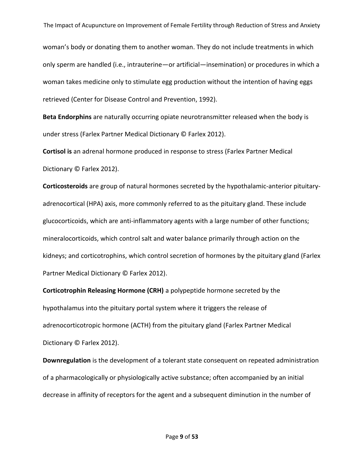woman's body or donating them to another woman. They do not include treatments in which only sperm are handled (i.e., intrauterine—or artificial—insemination) or procedures in which a woman takes medicine only to stimulate egg production without the intention of having eggs retrieved (Center for Disease Control and Prevention, 1992).

**Beta Endorphins** are naturally occurring opiate neurotransmitter released when the body is under stress (Farlex Partner Medical Dictionary © Farlex 2012).

**Cortisol is** an adrenal hormone produced in response to stress (Farlex Partner Medical Dictionary © Farlex 2012).

**Corticosteroids** are group of natural hormones secreted by the hypothalamic-anterior pituitaryadrenocortical (HPA) axis, more commonly referred to as the pituitary gland. These include glucocorticoids, which are anti-inflammatory agents with a large number of other functions; mineralocorticoids, which control salt and water balance primarily through action on the kidneys; and corticotrophins, which control secretion of hormones by the pituitary gland (Farlex Partner Medical Dictionary © Farlex 2012).

**Corticotrophin Releasing Hormone (CRH)** a polypeptide hormone secreted by the hypothalamus into the pituitary portal system where it triggers the release of adrenocorticotropic hormone (ACTH) from the pituitary gland (Farlex Partner Medical Dictionary © Farlex 2012).

**Downregulation** is the development of a tolerant state consequent on repeated administration of a pharmacologically or physiologically active substance; often accompanied by an initial decrease in affinity of receptors for the agent and a subsequent diminution in the number of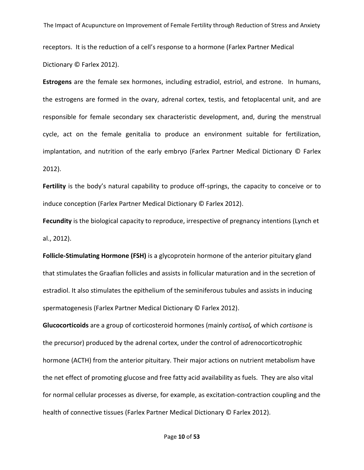receptors. It is the reduction of a cell's response to a hormone (Farlex Partner Medical Dictionary © Farlex 2012).

**Estrogens** are the female sex hormones, including estradiol, estriol, and estrone. In humans, the estrogens are formed in the ovary, adrenal cortex, testis, and fetoplacental unit, and are responsible for female secondary sex characteristic development, and, during the menstrual cycle, act on the female genitalia to produce an environment suitable for fertilization, implantation, and nutrition of the early embryo (Farlex Partner Medical Dictionary © Farlex 2012).

Fertility is the body's natural capability to produce off-springs, the capacity to conceive or to induce conception (Farlex Partner Medical Dictionary © Farlex 2012).

**Fecundity** is the biological capacity to reproduce, irrespective of pregnancy intentions (Lynch et al., 2012).

**Follicle-Stimulating Hormone (FSH)** is a glycoprotein hormone of the anterior pituitary gland that stimulates the Graafian follicles and assists in follicular maturation and in the secretion of estradiol. It also stimulates the epithelium of the seminiferous tubules and assists in inducing spermatogenesis (Farlex Partner Medical Dictionary © Farlex 2012).

**Glucocorticoids** are a group of corticosteroid hormones (mainly *cortisol,* of which *cortisone* is the precursor) produced by the adrenal cortex, under the control of adrenocorticotrophic hormone (ACTH) from the anterior pituitary. Their major actions on nutrient metabolism have the net effect of promoting glucose and free fatty acid availability as fuels. They are also vital for normal cellular processes as diverse, for example, as excitation-contraction coupling and the health of connective tissues (Farlex Partner Medical Dictionary © Farlex 2012).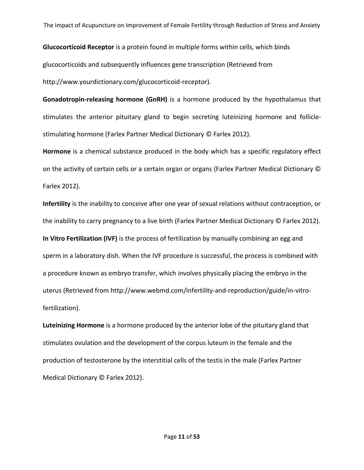**Glucocorticoid Receptor** is a protein found in multiple forms within cells, which binds glucocorticoids and subsequently influences gene transcription (Retrieved from http://www.yourdictionary.com/glucocorticoid-receptor).

**Gonadotropin-releasing hormone (GnRH)** is a hormone produced by the hypothalamus that stimulates the anterior pituitary gland to begin secreting luteinizing hormone and folliclestimulating hormone (Farlex Partner Medical Dictionary © Farlex 2012).

**Hormone** is a chemical substance produced in the body which has a specific regulatory effect on the activity of certain cells or a certain organ or organs (Farlex Partner Medical Dictionary © Farlex 2012).

**Infertility** is the inability to conceive after one year of sexual relations without contraception, or the inability to carry pregnancy to a live birth (Farlex Partner Medical Dictionary © Farlex 2012). **In Vitro Fertilization (IVF)** is the process of fertilization by manually combining an egg and sperm in a laboratory dish. When the IVF procedure is successful, the process is combined with a procedure known as embryo transfer, which involves physically placing the embryo in the uterus (Retrieved from http://www.webmd.com/infertility-and-reproduction/guide/in-vitrofertilization).

**Luteinizing Hormone** is a hormone produced by the anterior lobe of the pituitary gland that stimulates ovulation and the development of the corpus luteum in the female and the production of testosterone by the interstitial cells of the testis in the male (Farlex Partner Medical Dictionary © Farlex 2012).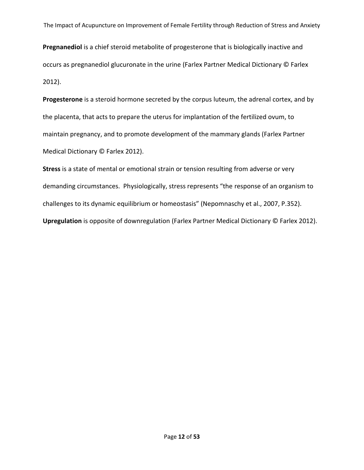**Pregnanediol** is a chief steroid metabolite of progesterone that is biologically inactive and occurs as pregnanediol glucuronate in the urine (Farlex Partner Medical Dictionary © Farlex 2012).

**Progesterone** is a steroid hormone secreted by the corpus luteum, the adrenal cortex, and by the placenta, that acts to prepare the uterus for implantation of the fertilized ovum, to maintain pregnancy, and to promote development of the mammary glands (Farlex Partner Medical Dictionary © Farlex 2012).

**Stress** is a state of mental or emotional strain or tension resulting from adverse or very demanding circumstances. Physiologically, stress represents "the response of an organism to challenges to its dynamic equilibrium or homeostasis" (Nepomnaschy et al., 2007, P.352). **Upregulation** is opposite of downregulation (Farlex Partner Medical Dictionary © Farlex 2012).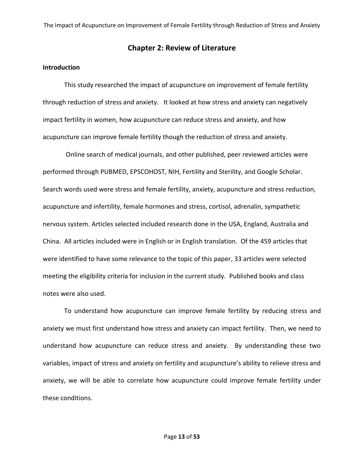### **Chapter 2: Review of Literature**

#### **Introduction**

This study researched the impact of acupuncture on improvement of female fertility through reduction of stress and anxiety. It looked at how stress and anxiety can negatively impact fertility in women, how acupuncture can reduce stress and anxiety, and how acupuncture can improve female fertility though the reduction of stress and anxiety.

Online search of medical journals, and other published, peer reviewed articles were performed through PUBMED, EPSCOHOST, NIH, Fertility and Sterility, and Google Scholar. Search words used were stress and female fertility, anxiety, acupuncture and stress reduction, acupuncture and infertility, female hormones and stress, cortisol, adrenalin, sympathetic nervous system. Articles selected included research done in the USA, England, Australia and China. All articles included were in English or in English translation. Of the 459 articles that were identified to have some relevance to the topic of this paper, 33 articles were selected meeting the eligibility criteria for inclusion in the current study. Published books and class notes were also used.

To understand how acupuncture can improve female fertility by reducing stress and anxiety we must first understand how stress and anxiety can impact fertility. Then, we need to understand how acupuncture can reduce stress and anxiety. By understanding these two variables, impact of stress and anxiety on fertility and acupuncture's ability to relieve stress and anxiety, we will be able to correlate how acupuncture could improve female fertility under these conditions.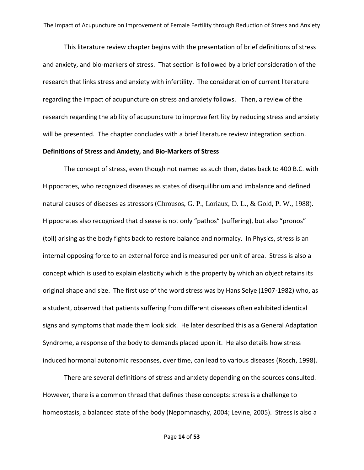This literature review chapter begins with the presentation of brief definitions of stress and anxiety, and bio-markers of stress. That section is followed by a brief consideration of the research that links stress and anxiety with infertility. The consideration of current literature regarding the impact of acupuncture on stress and anxiety follows. Then, a review of the research regarding the ability of acupuncture to improve fertility by reducing stress and anxiety will be presented. The chapter concludes with a brief literature review integration section.

#### **Definitions of Stress and Anxiety, and Bio-Markers of Stress**

The concept of stress, even though not named as such then, dates back to 400 B.C. with Hippocrates, who recognized diseases as states of disequilibrium and imbalance and defined natural causes of diseases as stressors (Chrousos, G. P., Loriaux, D. L., & Gold, P. W., 1988). Hippocrates also recognized that disease is not only "pathos" (suffering), but also "pronos" (toil) arising as the body fights back to restore balance and normalcy. In Physics, stress is an internal opposing force to an external force and is measured per unit of area. Stress is also a concept which is used to explain elasticity which is the property by which an object retains its original shape and size. The first use of the word stress was by Hans Selye (1907-1982) who, as a student, observed that patients suffering from different diseases often exhibited identical signs and symptoms that made them look sick. He later described this as a General Adaptation Syndrome, a response of the body to demands placed upon it. He also details how stress induced hormonal autonomic responses, over time, can lead to various diseases (Rosch, 1998).

There are several definitions of stress and anxiety depending on the sources consulted. However, there is a common thread that defines these concepts: stress is a challenge to homeostasis, a balanced state of the body (Nepomnaschy, 2004; Levine, 2005). Stress is also a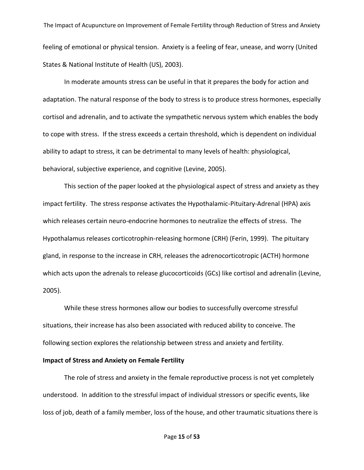The Impact of Acupuncture on Improvement of Female Fertility through Reduction of Stress and Anxiety feeling of emotional or physical tension. Anxiety is a feeling of fear, unease, and worry (United States & National Institute of Health (US), 2003).

In moderate amounts stress can be useful in that it prepares the body for action and adaptation. The natural response of the body to stress is to produce stress hormones, especially cortisol and adrenalin, and to activate the sympathetic nervous system which enables the body to cope with stress. If the stress exceeds a certain threshold, which is dependent on individual ability to adapt to stress, it can be detrimental to many levels of health: physiological, behavioral, subjective experience, and cognitive (Levine, 2005).

This section of the paper looked at the physiological aspect of stress and anxiety as they impact fertility. The stress response activates the Hypothalamic-Pituitary-Adrenal (HPA) axis which releases certain neuro-endocrine hormones to neutralize the effects of stress. The Hypothalamus releases corticotrophin-releasing hormone (CRH) (Ferin, 1999). The pituitary gland, in response to the increase in CRH, releases the adrenocorticotropic (ACTH) hormone which acts upon the adrenals to release glucocorticoids (GCs) like cortisol and adrenalin (Levine, 2005).

While these stress hormones allow our bodies to successfully overcome stressful situations, their increase has also been associated with reduced ability to conceive. The following section explores the relationship between stress and anxiety and fertility.

### **Impact of Stress and Anxiety on Female Fertility**

The role of stress and anxiety in the female reproductive process is not yet completely understood. In addition to the stressful impact of individual stressors or specific events, like loss of job, death of a family member, loss of the house, and other traumatic situations there is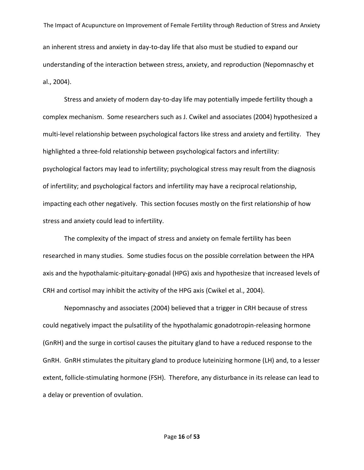The Impact of Acupuncture on Improvement of Female Fertility through Reduction of Stress and Anxiety an inherent stress and anxiety in day-to-day life that also must be studied to expand our understanding of the interaction between stress, anxiety, and reproduction (Nepomnaschy et al., 2004).

Stress and anxiety of modern day-to-day life may potentially impede fertility though a complex mechanism. Some researchers such as J. Cwikel and associates (2004) hypothesized a multi-level relationship between psychological factors like stress and anxiety and fertility. They highlighted a three-fold relationship between psychological factors and infertility: psychological factors may lead to infertility; psychological stress may result from the diagnosis of infertility; and psychological factors and infertility may have a reciprocal relationship, impacting each other negatively. This section focuses mostly on the first relationship of how stress and anxiety could lead to infertility.

The complexity of the impact of stress and anxiety on female fertility has been researched in many studies. Some studies focus on the possible correlation between the HPA axis and the hypothalamic-pituitary-gonadal (HPG) axis and hypothesize that increased levels of CRH and cortisol may inhibit the activity of the HPG axis (Cwikel et al., 2004).

Nepomnaschy and associates (2004) believed that a trigger in CRH because of stress could negatively impact the pulsatility of the hypothalamic gonadotropin-releasing hormone (GnRH) and the surge in cortisol causes the pituitary gland to have a reduced response to the GnRH. GnRH stimulates the pituitary gland to produce luteinizing hormone (LH) and, to a lesser extent, follicle-stimulating hormone (FSH). Therefore, any disturbance in its release can lead to a delay or prevention of ovulation.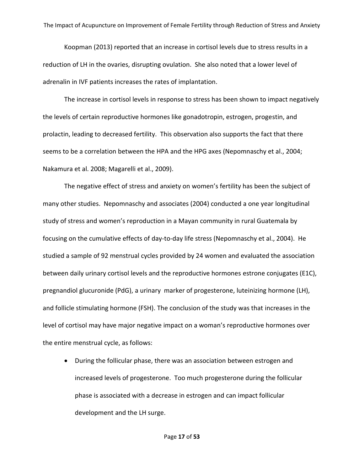Koopman (2013) reported that an increase in cortisol levels due to stress results in a reduction of LH in the ovaries, disrupting ovulation. She also noted that a lower level of adrenalin in IVF patients increases the rates of implantation.

The increase in cortisol levels in response to stress has been shown to impact negatively the levels of certain reproductive hormones like gonadotropin, estrogen, progestin, and prolactin, leading to decreased fertility. This observation also supports the fact that there seems to be a correlation between the HPA and the HPG axes (Nepomnaschy et al., 2004; Nakamura et al. 2008; Magarelli et al., 2009).

The negative effect of stress and anxiety on women's fertility has been the subject of many other studies. Nepomnaschy and associates (2004) conducted a one year longitudinal study of stress and women's reproduction in a Mayan community in rural Guatemala by focusing on the cumulative effects of day-to-day life stress (Nepomnaschy et al., 2004). He studied a sample of 92 menstrual cycles provided by 24 women and evaluated the association between daily urinary cortisol levels and the reproductive hormones estrone conjugates (E1C), pregnandiol glucuronide (PdG), a urinary marker of progesterone, luteinizing hormone (LH), and follicle stimulating hormone (FSH). The conclusion of the study was that increases in the level of cortisol may have major negative impact on a woman's reproductive hormones over the entire menstrual cycle, as follows:

 During the follicular phase, there was an association between estrogen and increased levels of progesterone. Too much progesterone during the follicular phase is associated with a decrease in estrogen and can impact follicular development and the LH surge.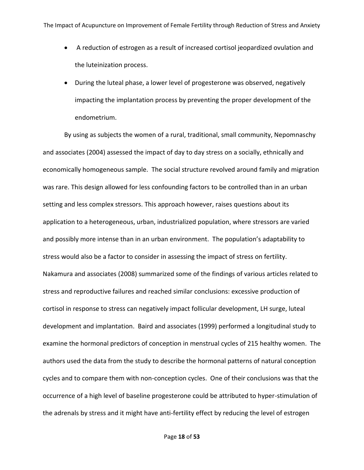- A reduction of estrogen as a result of increased cortisol jeopardized ovulation and the luteinization process.
- During the luteal phase, a lower level of progesterone was observed, negatively impacting the implantation process by preventing the proper development of the endometrium.

By using as subjects the women of a rural, traditional, small community, Nepomnaschy and associates (2004) assessed the impact of day to day stress on a socially, ethnically and economically homogeneous sample. The social structure revolved around family and migration was rare. This design allowed for less confounding factors to be controlled than in an urban setting and less complex stressors. This approach however, raises questions about its application to a heterogeneous, urban, industrialized population, where stressors are varied and possibly more intense than in an urban environment. The population's adaptability to stress would also be a factor to consider in assessing the impact of stress on fertility. Nakamura and associates (2008) summarized some of the findings of various articles related to stress and reproductive failures and reached similar conclusions: excessive production of cortisol in response to stress can negatively impact follicular development, LH surge, luteal development and implantation. Baird and associates (1999) performed a longitudinal study to examine the hormonal predictors of conception in menstrual cycles of 215 healthy women. The authors used the data from the study to describe the hormonal patterns of natural conception cycles and to compare them with non-conception cycles. One of their conclusions was that the occurrence of a high level of baseline progesterone could be attributed to hyper-stimulation of the adrenals by stress and it might have anti-fertility effect by reducing the level of estrogen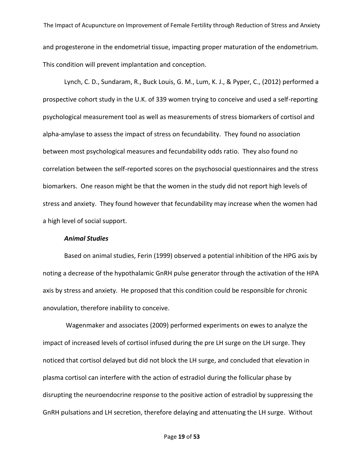The Impact of Acupuncture on Improvement of Female Fertility through Reduction of Stress and Anxiety and progesterone in the endometrial tissue, impacting proper maturation of the endometrium. This condition will prevent implantation and conception.

Lynch, C. D., Sundaram, R., Buck Louis, G. M., Lum, K. J., & Pyper, C., (2012) performed a prospective cohort study in the U.K. of 339 women trying to conceive and used a self-reporting psychological measurement tool as well as measurements of stress biomarkers of cortisol and alpha-amylase to assess the impact of stress on fecundability. They found no association between most psychological measures and fecundability odds ratio. They also found no correlation between the self-reported scores on the psychosocial questionnaires and the stress biomarkers. One reason might be that the women in the study did not report high levels of stress and anxiety. They found however that fecundability may increase when the women had a high level of social support.

### *Animal Studies*

Based on animal studies, Ferin (1999) observed a potential inhibition of the HPG axis by noting a decrease of the hypothalamic GnRH pulse generator through the activation of the HPA axis by stress and anxiety. He proposed that this condition could be responsible for chronic anovulation, therefore inability to conceive.

Wagenmaker and associates (2009) performed experiments on ewes to analyze the impact of increased levels of cortisol infused during the pre LH surge on the LH surge. They noticed that cortisol delayed but did not block the LH surge, and concluded that elevation in plasma cortisol can interfere with the action of estradiol during the follicular phase by disrupting the neuroendocrine response to the positive action of estradiol by suppressing the GnRH pulsations and LH secretion, therefore delaying and attenuating the LH surge. Without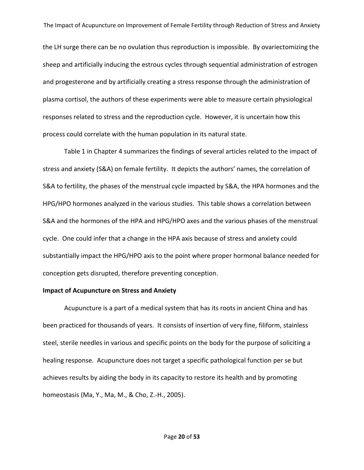the LH surge there can be no ovulation thus reproduction is impossible. By ovariectomizing the sheep and artificially inducing the estrous cycles through sequential administration of estrogen and progesterone and by artificially creating a stress response through the administration of plasma cortisol, the authors of these experiments were able to measure certain physiological responses related to stress and the reproduction cycle. However, it is uncertain how this process could correlate with the human population in its natural state.

Table 1 in Chapter 4 summarizes the findings of several articles related to the impact of stress and anxiety (S&A) on female fertility. It depicts the authors' names, the correlation of S&A to fertility, the phases of the menstrual cycle impacted by S&A, the HPA hormones and the HPG/HPO hormones analyzed in the various studies. This table shows a correlation between S&A and the hormones of the HPA and HPG/HPO axes and the various phases of the menstrual cycle. One could infer that a change in the HPA axis because of stress and anxiety could substantially impact the HPG/HPO axis to the point where proper hormonal balance needed for conception gets disrupted, therefore preventing conception.

#### **Impact of Acupuncture on Stress and Anxiety**

Acupuncture is a part of a medical system that has its roots in ancient China and has been practiced for thousands of years. It consists of insertion of very fine, filiform, stainless steel, sterile needles in various and specific points on the body for the purpose of soliciting a healing response. Acupuncture does not target a specific pathological function per se but achieves results by aiding the body in its capacity to restore its health and by promoting homeostasis (Ma, Y., Ma, M., & Cho, Z.-H., 2005).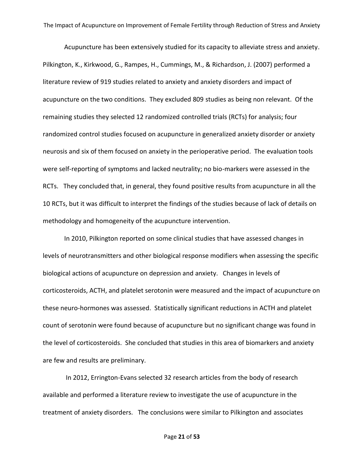Acupuncture has been extensively studied for its capacity to alleviate stress and anxiety. Pilkington, K., Kirkwood, G., Rampes, H., Cummings, M., & Richardson, J. (2007) performed a literature review of 919 studies related to anxiety and anxiety disorders and impact of acupuncture on the two conditions. They excluded 809 studies as being non relevant. Of the remaining studies they selected 12 randomized controlled trials (RCTs) for analysis; four randomized control studies focused on acupuncture in generalized anxiety disorder or anxiety neurosis and six of them focused on anxiety in the perioperative period. The evaluation tools were self-reporting of symptoms and lacked neutrality; no bio-markers were assessed in the RCTs. They concluded that, in general, they found positive results from acupuncture in all the 10 RCTs, but it was difficult to interpret the findings of the studies because of lack of details on methodology and homogeneity of the acupuncture intervention.

In 2010, Pilkington reported on some clinical studies that have assessed changes in levels of neurotransmitters and other biological response modifiers when assessing the specific biological actions of acupuncture on depression and anxiety. Changes in levels of corticosteroids, ACTH, and platelet serotonin were measured and the impact of acupuncture on these neuro-hormones was assessed. Statistically significant reductions in ACTH and platelet count of serotonin were found because of acupuncture but no significant change was found in the level of corticosteroids. She concluded that studies in this area of biomarkers and anxiety are few and results are preliminary.

In 2012, Errington-Evans selected 32 research articles from the body of research available and performed a literature review to investigate the use of acupuncture in the treatment of anxiety disorders. The conclusions were similar to Pilkington and associates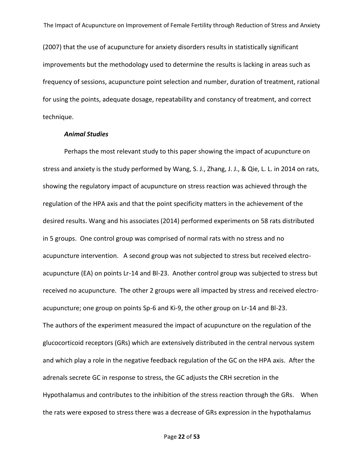(2007) that the use of acupuncture for anxiety disorders results in statistically significant improvements but the methodology used to determine the results is lacking in areas such as frequency of sessions, acupuncture point selection and number, duration of treatment, rational for using the points, adequate dosage, repeatability and constancy of treatment, and correct technique.

#### *Animal Studies*

Perhaps the most relevant study to this paper showing the impact of acupuncture on stress and anxiety is the study performed by Wang, S. J., Zhang, J. J., & Qie, L. L. in 2014 on rats, showing the regulatory impact of acupuncture on stress reaction was achieved through the regulation of the HPA axis and that the point specificity matters in the achievement of the desired results. Wang and his associates (2014) performed experiments on 58 rats distributed in 5 groups. One control group was comprised of normal rats with no stress and no acupuncture intervention. A second group was not subjected to stress but received electroacupuncture (EA) on points Lr-14 and Bl-23. Another control group was subjected to stress but received no acupuncture. The other 2 groups were all impacted by stress and received electroacupuncture; one group on points Sp-6 and Ki-9, the other group on Lr-14 and Bl-23. The authors of the experiment measured the impact of acupuncture on the regulation of the glucocorticoid receptors (GRs) which are extensively distributed in the central nervous system and which play a role in the negative feedback regulation of the GC on the HPA axis. After the adrenals secrete GC in response to stress, the GC adjusts the CRH secretion in the Hypothalamus and contributes to the inhibition of the stress reaction through the GRs. When the rats were exposed to stress there was a decrease of GRs expression in the hypothalamus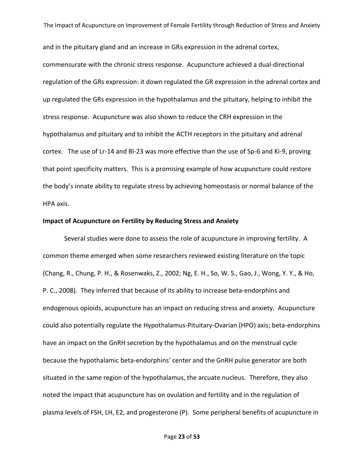and in the pituitary gland and an increase in GRs expression in the adrenal cortex, commensurate with the chronic stress response. Acupuncture achieved a dual-directional regulation of the GRs expression: it down regulated the GR expression in the adrenal cortex and up regulated the GRs expression in the hypothalamus and the pituitary, helping to inhibit the stress response. Acupuncture was also shown to reduce the CRH expression in the hypothalamus and pituitary and to inhibit the ACTH receptors in the pituitary and adrenal cortex. The use of Lr-14 and Bl-23 was more effective than the use of Sp-6 and Ki-9, proving that point specificity matters. This is a promising example of how acupuncture could restore the body's innate ability to regulate stress by achieving homeostasis or normal balance of the HPA axis.

#### **Impact of Acupuncture on Fertility by Reducing Stress and Anxiety**

Several studies were done to assess the role of acupuncture in improving fertility. A common theme emerged when some researchers reviewed existing literature on the topic (Chang, R., Chung, P. H., & Rosenwaks, Z., 2002; Ng, E. H., So, W. S., Gao, J., Wong, Y. Y., & Ho, P. C., 2008). They inferred that because of its ability to increase beta-endorphins and endogenous opioids, acupuncture has an impact on reducing stress and anxiety. Acupuncture could also potentially regulate the Hypothalamus-Pituitary-Ovarian (HPO) axis; beta-endorphins have an impact on the GnRH secretion by the hypothalamus and on the menstrual cycle because the hypothalamic beta-endorphins' center and the GnRH pulse generator are both situated in the same region of the hypothalamus, the arcuate nucleus. Therefore, they also noted the impact that acupuncture has on ovulation and fertility and in the regulation of plasma levels of FSH, LH, E2, and progesterone (P). Some peripheral benefits of acupuncture in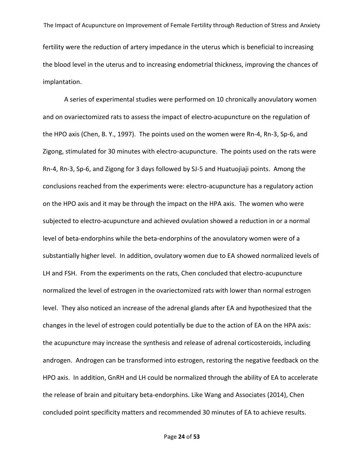The Impact of Acupuncture on Improvement of Female Fertility through Reduction of Stress and Anxiety fertility were the reduction of artery impedance in the uterus which is beneficial to increasing the blood level in the uterus and to increasing endometrial thickness, improving the chances of implantation.

A series of experimental studies were performed on 10 chronically anovulatory women and on ovariectomized rats to assess the impact of electro-acupuncture on the regulation of the HPO axis (Chen, B. Y., 1997). The points used on the women were Rn-4, Rn-3, Sp-6, and Zigong, stimulated for 30 minutes with electro-acupuncture. The points used on the rats were Rn-4, Rn-3, Sp-6, and Zigong for 3 days followed by SJ-5 and Huatuojiaji points. Among the conclusions reached from the experiments were: electro-acupuncture has a regulatory action on the HPO axis and it may be through the impact on the HPA axis. The women who were subjected to electro-acupuncture and achieved ovulation showed a reduction in or a normal level of beta-endorphins while the beta-endorphins of the anovulatory women were of a substantially higher level. In addition, ovulatory women due to EA showed normalized levels of LH and FSH. From the experiments on the rats, Chen concluded that electro-acupuncture normalized the level of estrogen in the ovariectomized rats with lower than normal estrogen level. They also noticed an increase of the adrenal glands after EA and hypothesized that the changes in the level of estrogen could potentially be due to the action of EA on the HPA axis: the acupuncture may increase the synthesis and release of adrenal corticosteroids, including androgen. Androgen can be transformed into estrogen, restoring the negative feedback on the HPO axis. In addition, GnRH and LH could be normalized through the ability of EA to accelerate the release of brain and pituitary beta-endorphins. Like Wang and Associates (2014), Chen concluded point specificity matters and recommended 30 minutes of EA to achieve results.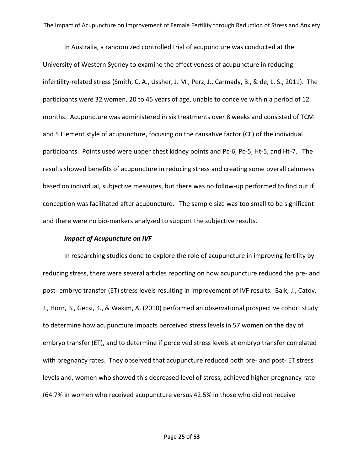In Australia, a randomized controlled trial of acupuncture was conducted at the University of Western Sydney to examine the effectiveness of acupuncture in reducing infertility-related stress (Smith, C. A., Ussher, J. M., Perz, J., Carmady, B., & de, L. S., 2011). The participants were 32 women, 20 to 45 years of age, unable to conceive within a period of 12 months. Acupuncture was administered in six treatments over 8 weeks and consisted of TCM and 5 Element style of acupuncture, focusing on the causative factor (CF) of the individual participants. Points used were upper chest kidney points and Pc-6, Pc-5, Ht-5, and Ht-7. The results showed benefits of acupuncture in reducing stress and creating some overall calmness based on individual, subjective measures, but there was no follow-up performed to find out if conception was facilitated after acupuncture. The sample size was too small to be significant and there were no bio-markers analyzed to support the subjective results.

#### *Impact of Acupuncture on IVF*

In researching studies done to explore the role of acupuncture in improving fertility by reducing stress, there were several articles reporting on how acupuncture reduced the pre- and post- embryo transfer (ET) stress levels resulting in improvement of IVF results. Balk, J., Catov, J., Horn, B., Gecsi, K., & Wakim, A. (2010) performed an observational prospective cohort study to determine how acupuncture impacts perceived stress levels in 57 women on the day of embryo transfer (ET), and to determine if perceived stress levels at embryo transfer correlated with pregnancy rates. They observed that acupuncture reduced both pre- and post- ET stress levels and, women who showed this decreased level of stress, achieved higher pregnancy rate (64.7% in women who received acupuncture versus 42.5% in those who did not receive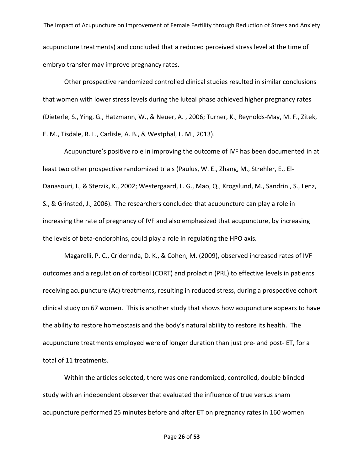The Impact of Acupuncture on Improvement of Female Fertility through Reduction of Stress and Anxiety acupuncture treatments) and concluded that a reduced perceived stress level at the time of embryo transfer may improve pregnancy rates.

Other prospective randomized controlled clinical studies resulted in similar conclusions that women with lower stress levels during the luteal phase achieved higher pregnancy rates (Dieterle, S., Ying, G., Hatzmann, W., & Neuer, A. , 2006; Turner, K., Reynolds-May, M. F., Zitek, E. M., Tisdale, R. L., Carlisle, A. B., & Westphal, L. M., 2013).

Acupuncture's positive role in improving the outcome of IVF has been documented in at least two other prospective randomized trials (Paulus, W. E., Zhang, M., Strehler, E., El-Danasouri, I., & Sterzik, K., 2002; Westergaard, L. G., Mao, Q., Krogslund, M., Sandrini, S., Lenz, S., & Grinsted, J., 2006). The researchers concluded that acupuncture can play a role in increasing the rate of pregnancy of IVF and also emphasized that acupuncture, by increasing the levels of beta-endorphins, could play a role in regulating the HPO axis.

Magarelli, P. C., Cridennda, D. K., & Cohen, M. (2009), observed increased rates of IVF outcomes and a regulation of cortisol (CORT) and prolactin (PRL) to effective levels in patients receiving acupuncture (Ac) treatments, resulting in reduced stress, during a prospective cohort clinical study on 67 women. This is another study that shows how acupuncture appears to have the ability to restore homeostasis and the body's natural ability to restore its health. The acupuncture treatments employed were of longer duration than just pre- and post- ET, for a total of 11 treatments.

Within the articles selected, there was one randomized, controlled, double blinded study with an independent observer that evaluated the influence of true versus sham acupuncture performed 25 minutes before and after ET on pregnancy rates in 160 women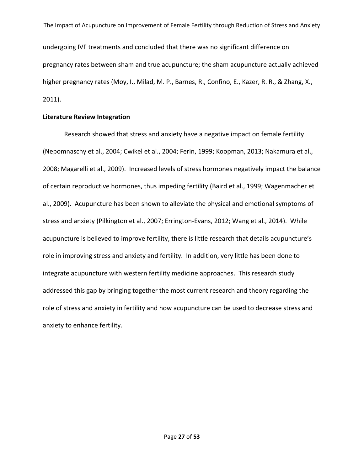The Impact of Acupuncture on Improvement of Female Fertility through Reduction of Stress and Anxiety undergoing IVF treatments and concluded that there was no significant difference on pregnancy rates between sham and true acupuncture; the sham acupuncture actually achieved higher pregnancy rates (Moy, I., Milad, M. P., Barnes, R., Confino, E., Kazer, R. R., & Zhang, X., 2011).

#### **Literature Review Integration**

Research showed that stress and anxiety have a negative impact on female fertility (Nepomnaschy et al., 2004; Cwikel et al., 2004; Ferin, 1999; Koopman, 2013; Nakamura et al., 2008; Magarelli et al., 2009). Increased levels of stress hormones negatively impact the balance of certain reproductive hormones, thus impeding fertility (Baird et al., 1999; Wagenmacher et al., 2009). Acupuncture has been shown to alleviate the physical and emotional symptoms of stress and anxiety (Pilkington et al., 2007; Errington-Evans, 2012; Wang et al., 2014). While acupuncture is believed to improve fertility, there is little research that details acupuncture's role in improving stress and anxiety and fertility. In addition, very little has been done to integrate acupuncture with western fertility medicine approaches. This research study addressed this gap by bringing together the most current research and theory regarding the role of stress and anxiety in fertility and how acupuncture can be used to decrease stress and anxiety to enhance fertility.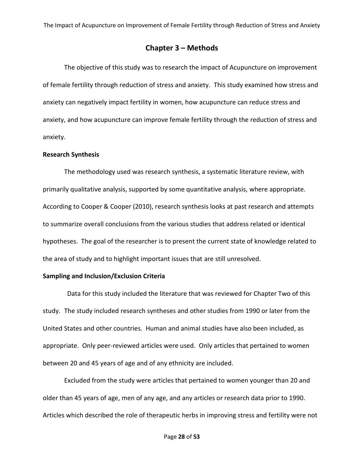### **Chapter 3 – Methods**

The objective of this study was to research the impact of Acupuncture on improvement of female fertility through reduction of stress and anxiety. This study examined how stress and anxiety can negatively impact fertility in women, how acupuncture can reduce stress and anxiety, and how acupuncture can improve female fertility through the reduction of stress and anxiety.

#### **Research Synthesis**

The methodology used was research synthesis, a systematic literature review, with primarily qualitative analysis, supported by some quantitative analysis, where appropriate. According to Cooper & Cooper (2010), research synthesis looks at past research and attempts to summarize overall conclusions from the various studies that address related or identical hypotheses. The goal of the researcher is to present the current state of knowledge related to the area of study and to highlight important issues that are still unresolved.

#### **Sampling and Inclusion/Exclusion Criteria**

Data for this study included the literature that was reviewed for Chapter Two of this study. The study included research syntheses and other studies from 1990 or later from the United States and other countries. Human and animal studies have also been included, as appropriate. Only peer-reviewed articles were used. Only articles that pertained to women between 20 and 45 years of age and of any ethnicity are included.

Excluded from the study were articles that pertained to women younger than 20 and older than 45 years of age, men of any age, and any articles or research data prior to 1990. Articles which described the role of therapeutic herbs in improving stress and fertility were not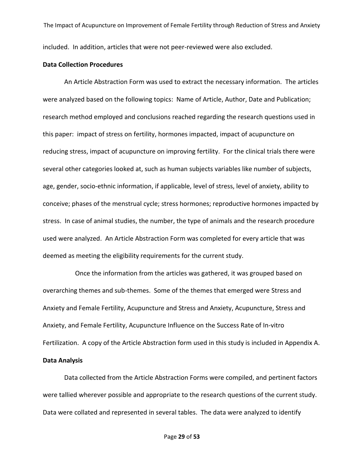The Impact of Acupuncture on Improvement of Female Fertility through Reduction of Stress and Anxiety included. In addition, articles that were not peer-reviewed were also excluded.

#### **Data Collection Procedures**

An Article Abstraction Form was used to extract the necessary information. The articles were analyzed based on the following topics: Name of Article, Author, Date and Publication; research method employed and conclusions reached regarding the research questions used in this paper: impact of stress on fertility, hormones impacted, impact of acupuncture on reducing stress, impact of acupuncture on improving fertility. For the clinical trials there were several other categories looked at, such as human subjects variables like number of subjects, age, gender, socio-ethnic information, if applicable, level of stress, level of anxiety, ability to conceive; phases of the menstrual cycle; stress hormones; reproductive hormones impacted by stress. In case of animal studies, the number, the type of animals and the research procedure used were analyzed. An Article Abstraction Form was completed for every article that was deemed as meeting the eligibility requirements for the current study.

 Once the information from the articles was gathered, it was grouped based on overarching themes and sub-themes. Some of the themes that emerged were Stress and Anxiety and Female Fertility, Acupuncture and Stress and Anxiety, Acupuncture, Stress and Anxiety, and Female Fertility, Acupuncture Influence on the Success Rate of In-vitro Fertilization. A copy of the Article Abstraction form used in this study is included in Appendix A.

### **Data Analysis**

Data collected from the Article Abstraction Forms were compiled, and pertinent factors were tallied wherever possible and appropriate to the research questions of the current study. Data were collated and represented in several tables. The data were analyzed to identify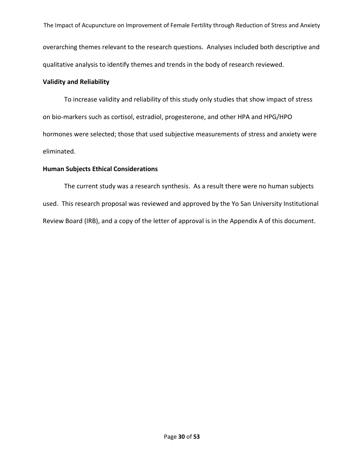The Impact of Acupuncture on Improvement of Female Fertility through Reduction of Stress and Anxiety overarching themes relevant to the research questions. Analyses included both descriptive and qualitative analysis to identify themes and trends in the body of research reviewed.

### **Validity and Reliability**

To increase validity and reliability of this study only studies that show impact of stress on bio-markers such as cortisol, estradiol, progesterone, and other HPA and HPG/HPO hormones were selected; those that used subjective measurements of stress and anxiety were eliminated.

### **Human Subjects Ethical Considerations**

The current study was a research synthesis. As a result there were no human subjects used. This research proposal was reviewed and approved by the Yo San University Institutional Review Board (IRB), and a copy of the letter of approval is in the Appendix A of this document.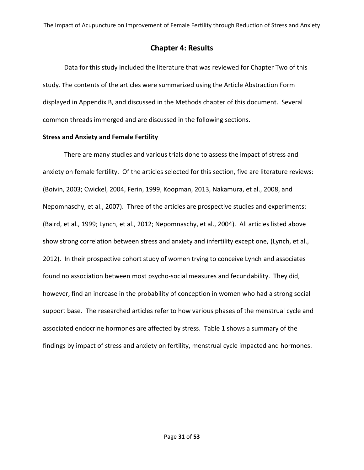### **Chapter 4: Results**

Data for this study included the literature that was reviewed for Chapter Two of this study. The contents of the articles were summarized using the Article Abstraction Form displayed in Appendix B, and discussed in the Methods chapter of this document. Several common threads immerged and are discussed in the following sections.

### **Stress and Anxiety and Female Fertility**

There are many studies and various trials done to assess the impact of stress and anxiety on female fertility. Of the articles selected for this section, five are literature reviews: (Boivin, 2003; Cwickel, 2004, Ferin, 1999, Koopman, 2013, Nakamura, et al., 2008, and Nepomnaschy, et al., 2007). Three of the articles are prospective studies and experiments: (Baird, et al., 1999; Lynch, et al., 2012; Nepomnaschy, et al., 2004). All articles listed above show strong correlation between stress and anxiety and infertility except one, (Lynch, et al., 2012). In their prospective cohort study of women trying to conceive Lynch and associates found no association between most psycho-social measures and fecundability. They did, however, find an increase in the probability of conception in women who had a strong social support base. The researched articles refer to how various phases of the menstrual cycle and associated endocrine hormones are affected by stress. Table 1 shows a summary of the findings by impact of stress and anxiety on fertility, menstrual cycle impacted and hormones.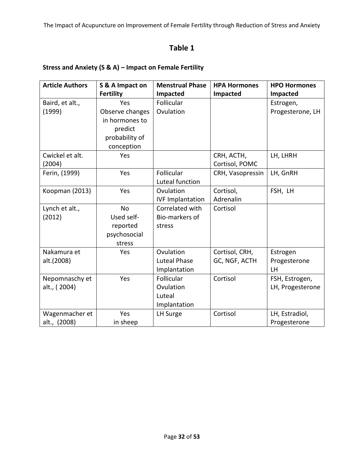## **Table 1**

### **Stress and Anxiety (S & A) – Impact on Female Fertility**

| <b>Article Authors</b> | S & A Impact on  | <b>Menstrual Phase</b>  | <b>HPA Hormones</b> | <b>HPO Hormones</b> |
|------------------------|------------------|-------------------------|---------------------|---------------------|
|                        | <b>Fertility</b> | Impacted                | Impacted            | Impacted            |
| Baird, et alt.,        | Yes              | Follicular              |                     | Estrogen,           |
| (1999)                 | Observe changes  | Ovulation               |                     | Progesterone, LH    |
|                        | in hormones to   |                         |                     |                     |
|                        | predict          |                         |                     |                     |
|                        | probability of   |                         |                     |                     |
|                        | conception       |                         |                     |                     |
| Cwickel et alt.        | Yes              |                         | CRH, ACTH,          | LH, LHRH            |
| (2004)                 |                  |                         | Cortisol, POMC      |                     |
| Ferin, (1999)          | Yes              | Follicular              | CRH, Vasopressin    | LH, GnRH            |
|                        |                  | Luteal function         |                     |                     |
| Koopman (2013)         | Yes              | Ovulation               | Cortisol,           | FSH, LH             |
|                        |                  | <b>IVF Implantation</b> | Adrenalin           |                     |
| Lynch et alt.,         | <b>No</b>        | Correlated with         | Cortisol            |                     |
| (2012)                 | Used self-       | Bio-markers of          |                     |                     |
|                        | reported         | stress                  |                     |                     |
|                        | psychosocial     |                         |                     |                     |
|                        | stress           |                         |                     |                     |
| Nakamura et            | Yes              | Ovulation               | Cortisol, CRH,      | Estrogen            |
| alt.(2008)             |                  | <b>Luteal Phase</b>     | GC, NGF, ACTH       | Progesterone        |
|                        |                  | Implantation            |                     | LH                  |
| Nepomnaschy et         | Yes              | Follicular              | Cortisol            | FSH, Estrogen,      |
| alt., (2004)           |                  | Ovulation               |                     | LH, Progesterone    |
|                        |                  | Luteal                  |                     |                     |
|                        |                  | Implantation            |                     |                     |
| Wagenmacher et         | Yes              | LH Surge                | Cortisol            | LH, Estradiol,      |
| alt., (2008)           | in sheep         |                         |                     | Progesterone        |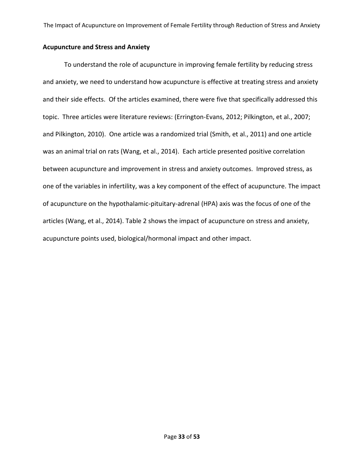### **Acupuncture and Stress and Anxiety**

To understand the role of acupuncture in improving female fertility by reducing stress and anxiety, we need to understand how acupuncture is effective at treating stress and anxiety and their side effects. Of the articles examined, there were five that specifically addressed this topic. Three articles were literature reviews: (Errington-Evans, 2012; Pilkington, et al., 2007; and Pilkington, 2010). One article was a randomized trial (Smith, et al., 2011) and one article was an animal trial on rats (Wang, et al., 2014). Each article presented positive correlation between acupuncture and improvement in stress and anxiety outcomes. Improved stress, as one of the variables in infertility, was a key component of the effect of acupuncture. The impact of acupuncture on the hypothalamic-pituitary-adrenal (HPA) axis was the focus of one of the articles (Wang, et al., 2014). Table 2 shows the impact of acupuncture on stress and anxiety, acupuncture points used, biological/hormonal impact and other impact.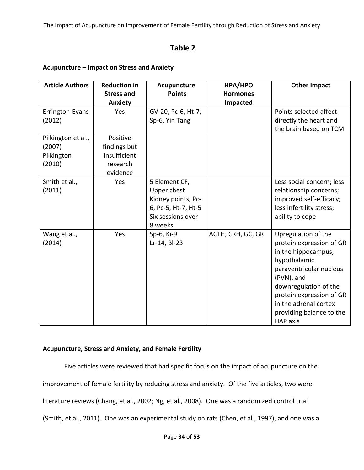## **Table 2**

### **Acupuncture – Impact on Stress and Anxiety**

| <b>Article Authors</b>                               | <b>Reduction in</b><br><b>Stress and</b><br><b>Anxiety</b>       | Acupuncture<br><b>Points</b>                                                                              | HPA/HPO<br><b>Hormones</b><br>Impacted | <b>Other Impact</b>                                                                                                                                                                                                                                          |
|------------------------------------------------------|------------------------------------------------------------------|-----------------------------------------------------------------------------------------------------------|----------------------------------------|--------------------------------------------------------------------------------------------------------------------------------------------------------------------------------------------------------------------------------------------------------------|
| Errington-Evans<br>(2012)                            | <b>Yes</b>                                                       | GV-20, Pc-6, Ht-7,<br>Sp-6, Yin Tang                                                                      |                                        | Points selected affect<br>directly the heart and<br>the brain based on TCM                                                                                                                                                                                   |
| Pilkington et al.,<br>(2007)<br>Pilkington<br>(2010) | Positive<br>findings but<br>insufficient<br>research<br>evidence |                                                                                                           |                                        |                                                                                                                                                                                                                                                              |
| Smith et al.,<br>(2011)                              | Yes                                                              | 5 Element CF,<br>Upper chest<br>Kidney points, Pc-<br>6, Pc-5, Ht-7, Ht-5<br>Six sessions over<br>8 weeks |                                        | Less social concern; less<br>relationship concerns;<br>improved self-efficacy;<br>less infertility stress;<br>ability to cope                                                                                                                                |
| Wang et al.,<br>(2014)                               | Yes                                                              | Sp-6, Ki-9<br>Lr-14, Bl-23                                                                                | ACTH, CRH, GC, GR                      | Upregulation of the<br>protein expression of GR<br>in the hippocampus,<br>hypothalamic<br>paraventricular nucleus<br>(PVN), and<br>downregulation of the<br>protein expression of GR<br>in the adrenal cortex<br>providing balance to the<br><b>HAP axis</b> |

### **Acupuncture, Stress and Anxiety, and Female Fertility**

Five articles were reviewed that had specific focus on the impact of acupuncture on the improvement of female fertility by reducing stress and anxiety. Of the five articles, two were literature reviews (Chang, et al., 2002; Ng, et al., 2008). One was a randomized control trial (Smith, et al., 2011). One was an experimental study on rats (Chen, et al., 1997), and one was a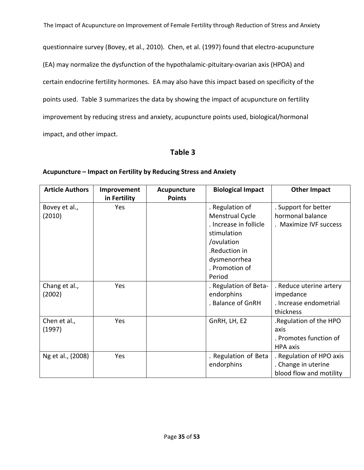questionnaire survey (Bovey, et al., 2010). Chen, et al. (1997) found that electro-acupuncture (EA) may normalize the dysfunction of the hypothalamic-pituitary-ovarian axis (HPOA) and certain endocrine fertility hormones. EA may also have this impact based on specificity of the points used. Table 3 summarizes the data by showing the impact of acupuncture on fertility improvement by reducing stress and anxiety, acupuncture points used, biological/hormonal impact, and other impact.

### **Table 3**

| <b>Article Authors</b> | Improvement<br>in Fertility | Acupuncture<br><b>Points</b> | <b>Biological Impact</b> | <b>Other Impact</b>      |
|------------------------|-----------------------------|------------------------------|--------------------------|--------------------------|
| Bovey et al.,          | <b>Yes</b>                  |                              | . Regulation of          | . Support for better     |
| (2010)                 |                             |                              | Menstrual Cycle          | hormonal balance         |
|                        |                             |                              | . Increase in follicle   | . Maximize IVF success   |
|                        |                             |                              | stimulation              |                          |
|                        |                             |                              | /ovulation               |                          |
|                        |                             |                              | .Reduction in            |                          |
|                        |                             |                              | dysmenorrhea             |                          |
|                        |                             |                              | . Promotion of           |                          |
|                        |                             |                              | Period                   |                          |
| Chang et al.,          | <b>Yes</b>                  |                              | . Regulation of Beta-    | . Reduce uterine artery  |
| (2002)                 |                             |                              | endorphins               | impedance                |
|                        |                             |                              | . Balance of GnRH        | . Increase endometrial   |
|                        |                             |                              |                          | thickness                |
| Chen et al.,           | Yes                         |                              | GnRH, LH, E2             | Regulation of the HPO.   |
| (1997)                 |                             |                              |                          | axis                     |
|                        |                             |                              |                          | . Promotes function of   |
|                        |                             |                              |                          | <b>HPA</b> axis          |
| Ng et al., (2008)      | <b>Yes</b>                  |                              | . Regulation of Beta     | . Regulation of HPO axis |
|                        |                             |                              | endorphins               | . Change in uterine      |
|                        |                             |                              |                          | blood flow and motility  |

### **Acupuncture – Impact on Fertility by Reducing Stress and Anxiety**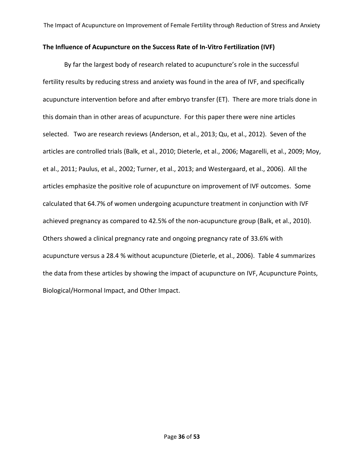### **The Influence of Acupuncture on the Success Rate of In-Vitro Fertilization (IVF)**

By far the largest body of research related to acupuncture's role in the successful fertility results by reducing stress and anxiety was found in the area of IVF, and specifically acupuncture intervention before and after embryo transfer (ET). There are more trials done in this domain than in other areas of acupuncture. For this paper there were nine articles selected. Two are research reviews (Anderson, et al., 2013; Qu, et al., 2012). Seven of the articles are controlled trials (Balk, et al., 2010; Dieterle, et al., 2006; Magarelli, et al., 2009; Moy, et al., 2011; Paulus, et al., 2002; Turner, et al., 2013; and Westergaard, et al., 2006). All the articles emphasize the positive role of acupuncture on improvement of IVF outcomes. Some calculated that 64.7% of women undergoing acupuncture treatment in conjunction with IVF achieved pregnancy as compared to 42.5% of the non-acupuncture group (Balk, et al., 2010). Others showed a clinical pregnancy rate and ongoing pregnancy rate of 33.6% with acupuncture versus a 28.4 % without acupuncture (Dieterle, et al., 2006). Table 4 summarizes the data from these articles by showing the impact of acupuncture on IVF, Acupuncture Points, Biological/Hormonal Impact, and Other Impact.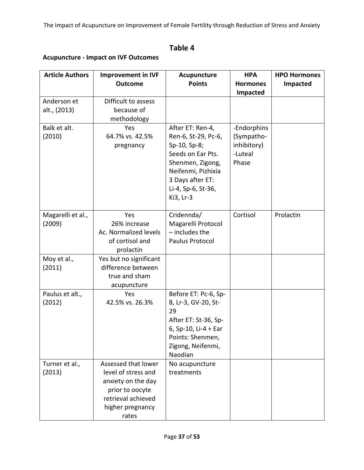# **Table 4**

### **Acupuncture - Impact on IVF Outcomes**

| <b>Article Authors</b>      | <b>Improvement in IVF</b>         | Acupuncture                     | <b>HPA</b>      | <b>HPO Hormones</b> |
|-----------------------------|-----------------------------------|---------------------------------|-----------------|---------------------|
|                             | <b>Outcome</b>                    | <b>Points</b>                   | <b>Hormones</b> | <b>Impacted</b>     |
|                             |                                   |                                 | Impacted        |                     |
| Anderson et<br>alt., (2013) | Difficult to assess<br>because of |                                 |                 |                     |
|                             | methodology                       |                                 |                 |                     |
| Balk et alt.                | Yes                               | After ET: Ren-4,                | -Endorphins     |                     |
| (2010)                      | 64.7% vs. 42.5%                   | Ren-6, St-29, Pc-6,             | (Sympatho-      |                     |
|                             | pregnancy                         | Sp-10, Sp-8;                    | inhibitory)     |                     |
|                             |                                   | Seeds on Ear Pts.               | -Luteal         |                     |
|                             |                                   | Shenmen, Zigong,                | Phase           |                     |
|                             |                                   | Neifenmi, Pizhixia              |                 |                     |
|                             |                                   | 3 Days after ET:                |                 |                     |
|                             |                                   | Li-4, Sp-6, St-36,<br>Ki3, Lr-3 |                 |                     |
|                             |                                   |                                 |                 |                     |
| Magarelli et al.,           | Yes                               | Cridennda/                      | Cortisol        | Prolactin           |
| (2009)                      | 26% increase                      | Magarelli Protocol              |                 |                     |
|                             | Ac. Normalized levels             | $-$ includes the                |                 |                     |
|                             | of cortisol and                   | Paulus Protocol                 |                 |                     |
|                             | prolactin                         |                                 |                 |                     |
| Moy et al.,                 | Yes but no significant            |                                 |                 |                     |
| (2011)                      | difference between                |                                 |                 |                     |
|                             | true and sham<br>acupuncture      |                                 |                 |                     |
| Paulus et alt.,             | Yes                               | Before ET: Pc-6, Sp-            |                 |                     |
| (2012)                      | 42.5% vs. 26.3%                   | 8, Lr-3, GV-20, St-             |                 |                     |
|                             |                                   | 29                              |                 |                     |
|                             |                                   | After ET: St-36, Sp-            |                 |                     |
|                             |                                   | 6, Sp-10, Li-4 + Ear            |                 |                     |
|                             |                                   | Points: Shenmen,                |                 |                     |
|                             |                                   | Zigong, Neifenmi,               |                 |                     |
| Turner et al.,              | Assessed that lower               | Naodian<br>No acupuncture       |                 |                     |
| (2013)                      | level of stress and               | treatments                      |                 |                     |
|                             | anxiety on the day                |                                 |                 |                     |
|                             | prior to oocyte                   |                                 |                 |                     |
|                             | retrieval achieved                |                                 |                 |                     |
|                             | higher pregnancy                  |                                 |                 |                     |
|                             | rates                             |                                 |                 |                     |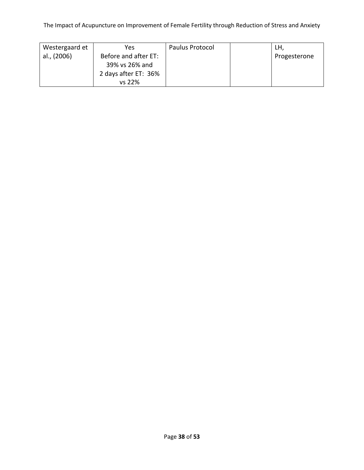| Westergaard et | Yes.                 | Paulus Protocol | LH,          |
|----------------|----------------------|-----------------|--------------|
| al., (2006)    | Before and after ET: |                 | Progesterone |
|                | 39% vs 26% and       |                 |              |
|                | 2 days after ET: 36% |                 |              |
|                | vs 22%               |                 |              |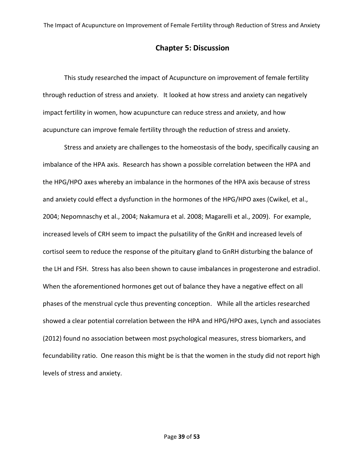### **Chapter 5: Discussion**

This study researched the impact of Acupuncture on improvement of female fertility through reduction of stress and anxiety. It looked at how stress and anxiety can negatively impact fertility in women, how acupuncture can reduce stress and anxiety, and how acupuncture can improve female fertility through the reduction of stress and anxiety.

Stress and anxiety are challenges to the homeostasis of the body, specifically causing an imbalance of the HPA axis. Research has shown a possible correlation between the HPA and the HPG/HPO axes whereby an imbalance in the hormones of the HPA axis because of stress and anxiety could effect a dysfunction in the hormones of the HPG/HPO axes (Cwikel, et al., 2004; Nepomnaschy et al., 2004; Nakamura et al. 2008; Magarelli et al., 2009). For example, increased levels of CRH seem to impact the pulsatility of the GnRH and increased levels of cortisol seem to reduce the response of the pituitary gland to GnRH disturbing the balance of the LH and FSH. Stress has also been shown to cause imbalances in progesterone and estradiol. When the aforementioned hormones get out of balance they have a negative effect on all phases of the menstrual cycle thus preventing conception. While all the articles researched showed a clear potential correlation between the HPA and HPG/HPO axes, Lynch and associates (2012) found no association between most psychological measures, stress biomarkers, and fecundability ratio. One reason this might be is that the women in the study did not report high levels of stress and anxiety.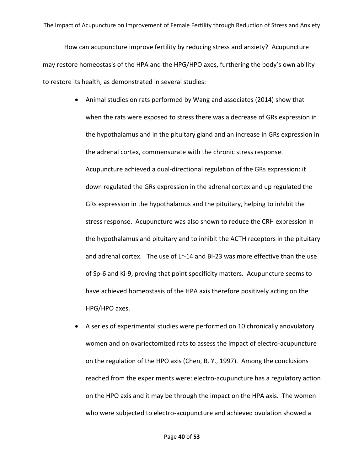How can acupuncture improve fertility by reducing stress and anxiety? Acupuncture may restore homeostasis of the HPA and the HPG/HPO axes, furthering the body's own ability to restore its health, as demonstrated in several studies:

- Animal studies on rats performed by Wang and associates (2014) show that when the rats were exposed to stress there was a decrease of GRs expression in the hypothalamus and in the pituitary gland and an increase in GRs expression in the adrenal cortex, commensurate with the chronic stress response. Acupuncture achieved a dual-directional regulation of the GRs expression: it down regulated the GRs expression in the adrenal cortex and up regulated the GRs expression in the hypothalamus and the pituitary, helping to inhibit the stress response. Acupuncture was also shown to reduce the CRH expression in the hypothalamus and pituitary and to inhibit the ACTH receptors in the pituitary and adrenal cortex. The use of Lr-14 and Bl-23 was more effective than the use of Sp-6 and Ki-9, proving that point specificity matters. Acupuncture seems to have achieved homeostasis of the HPA axis therefore positively acting on the HPG/HPO axes.
- A series of experimental studies were performed on 10 chronically anovulatory women and on ovariectomized rats to assess the impact of electro-acupuncture on the regulation of the HPO axis (Chen, B. Y., 1997). Among the conclusions reached from the experiments were: electro-acupuncture has a regulatory action on the HPO axis and it may be through the impact on the HPA axis. The women who were subjected to electro-acupuncture and achieved ovulation showed a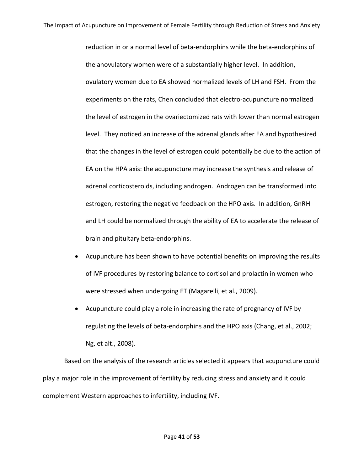reduction in or a normal level of beta-endorphins while the beta-endorphins of the anovulatory women were of a substantially higher level. In addition, ovulatory women due to EA showed normalized levels of LH and FSH. From the experiments on the rats, Chen concluded that electro-acupuncture normalized the level of estrogen in the ovariectomized rats with lower than normal estrogen level. They noticed an increase of the adrenal glands after EA and hypothesized that the changes in the level of estrogen could potentially be due to the action of EA on the HPA axis: the acupuncture may increase the synthesis and release of adrenal corticosteroids, including androgen. Androgen can be transformed into estrogen, restoring the negative feedback on the HPO axis. In addition, GnRH and LH could be normalized through the ability of EA to accelerate the release of brain and pituitary beta-endorphins.

- Acupuncture has been shown to have potential benefits on improving the results of IVF procedures by restoring balance to cortisol and prolactin in women who were stressed when undergoing ET (Magarelli, et al., 2009).
- Acupuncture could play a role in increasing the rate of pregnancy of IVF by regulating the levels of beta-endorphins and the HPO axis (Chang, et al., 2002; Ng, et alt., 2008).

Based on the analysis of the research articles selected it appears that acupuncture could play a major role in the improvement of fertility by reducing stress and anxiety and it could complement Western approaches to infertility, including IVF.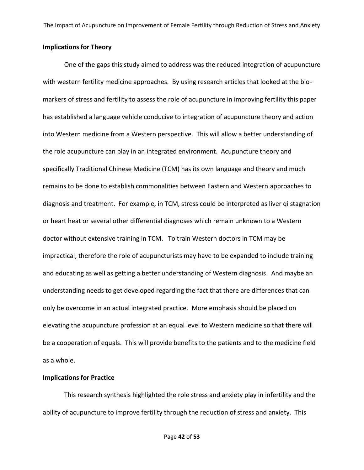### **Implications for Theory**

One of the gaps this study aimed to address was the reduced integration of acupuncture with western fertility medicine approaches. By using research articles that looked at the biomarkers of stress and fertility to assess the role of acupuncture in improving fertility this paper has established a language vehicle conducive to integration of acupuncture theory and action into Western medicine from a Western perspective. This will allow a better understanding of the role acupuncture can play in an integrated environment. Acupuncture theory and specifically Traditional Chinese Medicine (TCM) has its own language and theory and much remains to be done to establish commonalities between Eastern and Western approaches to diagnosis and treatment. For example, in TCM, stress could be interpreted as liver qi stagnation or heart heat or several other differential diagnoses which remain unknown to a Western doctor without extensive training in TCM. To train Western doctors in TCM may be impractical; therefore the role of acupuncturists may have to be expanded to include training and educating as well as getting a better understanding of Western diagnosis. And maybe an understanding needs to get developed regarding the fact that there are differences that can only be overcome in an actual integrated practice. More emphasis should be placed on elevating the acupuncture profession at an equal level to Western medicine so that there will be a cooperation of equals. This will provide benefits to the patients and to the medicine field as a whole.

#### **Implications for Practice**

This research synthesis highlighted the role stress and anxiety play in infertility and the ability of acupuncture to improve fertility through the reduction of stress and anxiety. This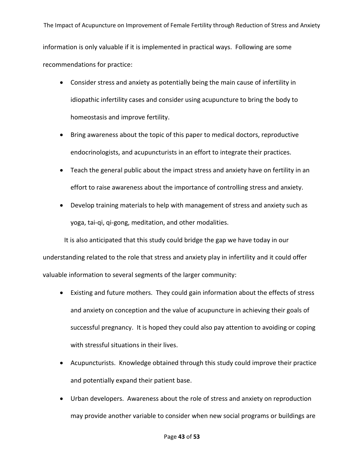The Impact of Acupuncture on Improvement of Female Fertility through Reduction of Stress and Anxiety information is only valuable if it is implemented in practical ways. Following are some recommendations for practice:

- Consider stress and anxiety as potentially being the main cause of infertility in idiopathic infertility cases and consider using acupuncture to bring the body to homeostasis and improve fertility.
- Bring awareness about the topic of this paper to medical doctors, reproductive endocrinologists, and acupuncturists in an effort to integrate their practices.
- Teach the general public about the impact stress and anxiety have on fertility in an effort to raise awareness about the importance of controlling stress and anxiety.
- Develop training materials to help with management of stress and anxiety such as yoga, tai-qi, qi-gong, meditation, and other modalities.

It is also anticipated that this study could bridge the gap we have today in our understanding related to the role that stress and anxiety play in infertility and it could offer valuable information to several segments of the larger community:

- Existing and future mothers. They could gain information about the effects of stress and anxiety on conception and the value of acupuncture in achieving their goals of successful pregnancy. It is hoped they could also pay attention to avoiding or coping with stressful situations in their lives.
- Acupuncturists. Knowledge obtained through this study could improve their practice and potentially expand their patient base.
- Urban developers. Awareness about the role of stress and anxiety on reproduction may provide another variable to consider when new social programs or buildings are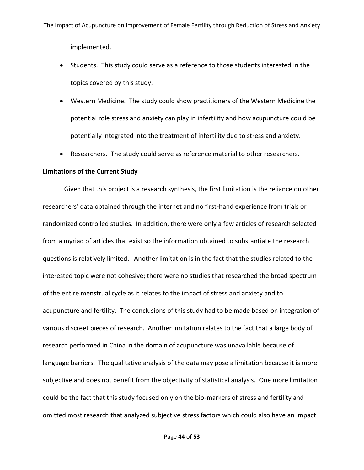implemented.

- Students. This study could serve as a reference to those students interested in the topics covered by this study.
- Western Medicine. The study could show practitioners of the Western Medicine the potential role stress and anxiety can play in infertility and how acupuncture could be potentially integrated into the treatment of infertility due to stress and anxiety.
- Researchers. The study could serve as reference material to other researchers.

#### **Limitations of the Current Study**

Given that this project is a research synthesis, the first limitation is the reliance on other researchers' data obtained through the internet and no first-hand experience from trials or randomized controlled studies. In addition, there were only a few articles of research selected from a myriad of articles that exist so the information obtained to substantiate the research questions is relatively limited. Another limitation is in the fact that the studies related to the interested topic were not cohesive; there were no studies that researched the broad spectrum of the entire menstrual cycle as it relates to the impact of stress and anxiety and to acupuncture and fertility. The conclusions of this study had to be made based on integration of various discreet pieces of research. Another limitation relates to the fact that a large body of research performed in China in the domain of acupuncture was unavailable because of language barriers. The qualitative analysis of the data may pose a limitation because it is more subjective and does not benefit from the objectivity of statistical analysis. One more limitation could be the fact that this study focused only on the bio-markers of stress and fertility and omitted most research that analyzed subjective stress factors which could also have an impact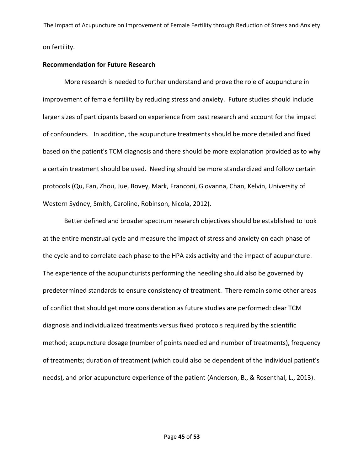### **Recommendation for Future Research**

More research is needed to further understand and prove the role of acupuncture in improvement of female fertility by reducing stress and anxiety. Future studies should include larger sizes of participants based on experience from past research and account for the impact of confounders. In addition, the acupuncture treatments should be more detailed and fixed based on the patient's TCM diagnosis and there should be more explanation provided as to why a certain treatment should be used. Needling should be more standardized and follow certain protocols (Qu, Fan, Zhou, Jue, Bovey, Mark, Franconi, Giovanna, Chan, Kelvin, University of Western Sydney, Smith, Caroline, Robinson, Nicola, 2012).

Better defined and broader spectrum research objectives should be established to look at the entire menstrual cycle and measure the impact of stress and anxiety on each phase of the cycle and to correlate each phase to the HPA axis activity and the impact of acupuncture. The experience of the acupuncturists performing the needling should also be governed by predetermined standards to ensure consistency of treatment. There remain some other areas of conflict that should get more consideration as future studies are performed: clear TCM diagnosis and individualized treatments versus fixed protocols required by the scientific method; acupuncture dosage (number of points needled and number of treatments), frequency of treatments; duration of treatment (which could also be dependent of the individual patient's needs), and prior acupuncture experience of the patient (Anderson, B., & Rosenthal, L., 2013).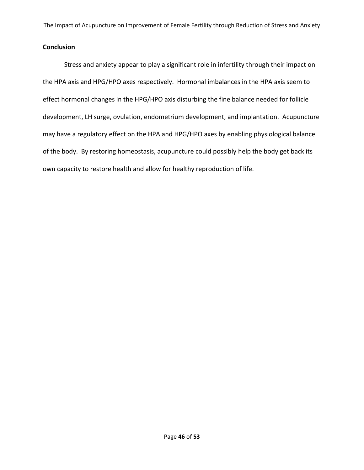### **Conclusion**

Stress and anxiety appear to play a significant role in infertility through their impact on the HPA axis and HPG/HPO axes respectively. Hormonal imbalances in the HPA axis seem to effect hormonal changes in the HPG/HPO axis disturbing the fine balance needed for follicle development, LH surge, ovulation, endometrium development, and implantation. Acupuncture may have a regulatory effect on the HPA and HPG/HPO axes by enabling physiological balance of the body. By restoring homeostasis, acupuncture could possibly help the body get back its own capacity to restore health and allow for healthy reproduction of life.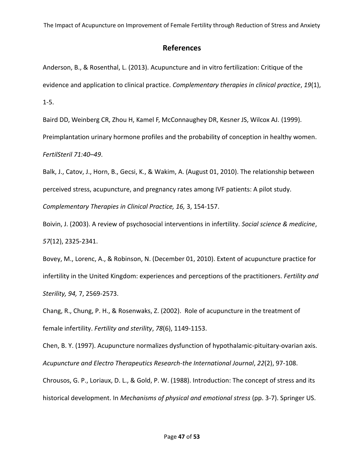## **References**

Anderson, B., & Rosenthal, L. (2013). Acupuncture and in vitro fertilization: Critique of the evidence and application to clinical practice. *Complementary therapies in clinical practice*, *19*(1), 1-5.

Baird DD, Weinberg CR, Zhou H, Kamel F, McConnaughey DR, Kesner JS, Wilcox AJ. (1999). Preimplantation urinary hormone profiles and the probability of conception in healthy women. *FertilSteril 71:40–49*.

Balk, J., Catov, J., Horn, B., Gecsi, K., & Wakim, A. (August 01, 2010). The relationship between perceived stress, acupuncture, and pregnancy rates among IVF patients: A pilot study. *Complementary Therapies in Clinical Practice, 16,* 3, 154-157.

Boivin, J. (2003). A review of psychosocial interventions in infertility. *Social science & medicine*, *57*(12), 2325-2341.

Bovey, M., Lorenc, A., & Robinson, N. (December 01, 2010). Extent of acupuncture practice for infertility in the United Kingdom: experiences and perceptions of the practitioners. *Fertility and Sterility, 94,* 7, 2569-2573.

Chang, R., Chung, P. H., & Rosenwaks, Z. (2002). Role of acupuncture in the treatment of female infertility. *Fertility and sterility*, *78*(6), 1149-1153.

Chen, B. Y. (1997). Acupuncture normalizes dysfunction of hypothalamic-pituitary-ovarian axis. *Acupuncture and Electro Therapeutics Research-the International Journal*, *22*(2), 97-108.

Chrousos, G. P., Loriaux, D. L., & Gold, P. W. (1988). Introduction: The concept of stress and its historical development. In *Mechanisms of physical and emotional stress* (pp. 3-7). Springer US.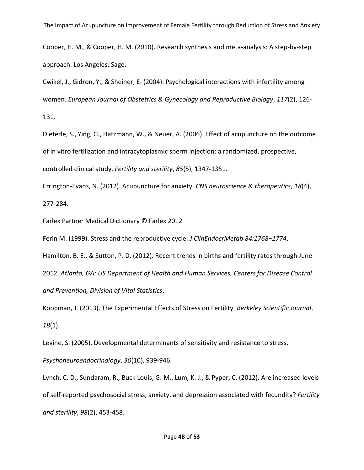Cooper, H. M., & Cooper, H. M. (2010). Research synthesis and meta-analysis: A step-by-step approach. Los Angeles: Sage.

Cwikel, J., Gidron, Y., & Sheiner, E. (2004). Psychological interactions with infertility among women. *European Journal of Obstetrics & Gynecology and Reproductive Biology*, *117*(2), 126- 131.

Dieterle, S., Ying, G., Hatzmann, W., & Neuer, A. (2006). Effect of acupuncture on the outcome of in vitro fertilization and intracytoplasmic sperm injection: a randomized, prospective, controlled clinical study. *Fertility and sterility*, *85*(5), 1347-1351.

Errington‐Evans, N. (2012). Acupuncture for anxiety. *CNS neuroscience & therapeutics*, *18*(4), 277-284.

Farlex Partner Medical Dictionary © Farlex 2012

Ferin M. (1999). Stress and the reproductive cycle. *J ClinEndocrMetab 84:1768–1774*.

Hamilton, B. E., & Sutton, P. D. (2012). Recent trends in births and fertility rates through June 2012. *Atlanta, GA: US Department of Health and Human Services, Centers for Disease Control and Prevention, Division of Vital Statistics*.

Koopman, J. (2013). The Experimental Effects of Stress on Fertility. *Berkeley Scientific Journal*, *18*(1).

Levine, S. (2005). Developmental determinants of sensitivity and resistance to stress.

*Psychoneuroendocrinology*, *30*(10), 939-946.

Lynch, C. D., Sundaram, R., Buck Louis, G. M., Lum, K. J., & Pyper, C. (2012). Are increased levels of self-reported psychosocial stress, anxiety, and depression associated with fecundity? *Fertility and sterility*, *98*(2), 453-458.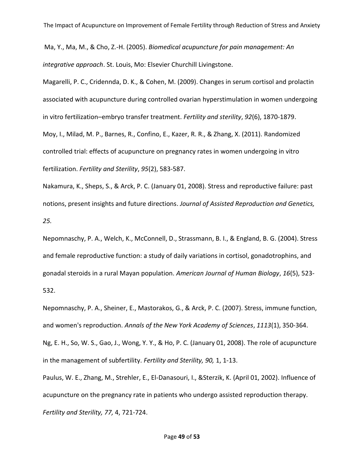Ma, Y., Ma, M., & Cho, Z.-H. (2005). *Biomedical acupuncture for pain management: An integrative approach*. St. Louis, Mo: Elsevier Churchill Livingstone.

Magarelli, P. C., Cridennda, D. K., & Cohen, M. (2009). Changes in serum cortisol and prolactin associated with acupuncture during controlled ovarian hyperstimulation in women undergoing in vitro fertilization–embryo transfer treatment. *Fertility and sterility*, *92*(6), 1870-1879. Moy, I., Milad, M. P., Barnes, R., Confino, E., Kazer, R. R., & Zhang, X. (2011). Randomized controlled trial: effects of acupuncture on pregnancy rates in women undergoing in vitro fertilization. *Fertility and Sterility*, *95*(2), 583-587.

Nakamura, K., Sheps, S., & Arck, P. C. (January 01, 2008). Stress and reproductive failure: past notions, present insights and future directions. *Journal of Assisted Reproduction and Genetics, 25.*

Nepomnaschy, P. A., Welch, K., McConnell, D., Strassmann, B. I., & England, B. G. (2004). Stress and female reproductive function: a study of daily variations in cortisol, gonadotrophins, and gonadal steroids in a rural Mayan population. *American Journal of Human Biology*, *16*(5), 523- 532.

Nepomnaschy, P. A., Sheiner, E., Mastorakos, G., & Arck, P. C. (2007). Stress, immune function, and women's reproduction. *Annals of the New York Academy of Sciences*, *1113*(1), 350-364. Ng, E. H., So, W. S., Gao, J., Wong, Y. Y., & Ho, P. C. (January 01, 2008). The role of acupuncture in the management of subfertility. *Fertility and Sterility, 90,* 1, 1-13.

Paulus, W. E., Zhang, M., Strehler, E., El-Danasouri, I., &Sterzik, K. (April 01, 2002). Influence of acupuncture on the pregnancy rate in patients who undergo assisted reproduction therapy. *Fertility and Sterility, 77,* 4, 721-724.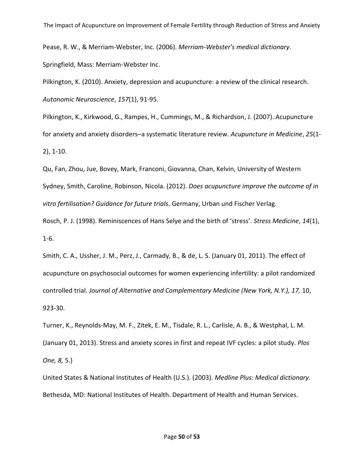Pease, R. W., & Merriam-Webster, Inc. (2006). *Merriam-Webster's medical dictionary*. Springfield, Mass: Merriam-Webster Inc.

Pilkington, K. (2010). Anxiety, depression and acupuncture: a review of the clinical research. *Autonomic Neuroscience*, *157*(1), 91-95.

Pilkington, K., Kirkwood, G., Rampes, H., Cummings, M., & Richardson, J. (2007). Acupuncture for anxiety and anxiety disorders–a systematic literature review. *Acupuncture in Medicine*, *25*(1- 2), 1-10.

Qu, Fan, Zhou, Jue, Bovey, Mark, Franconi, Giovanna, Chan, Kelvin, University of Western Sydney, Smith, Caroline, Robinson, Nicola. (2012). *Does acupuncture improve the outcome of in vitro fertilisation? Guidance for future trials*. Germany, Urban und Fischer Verlag.

Rosch, P. J. (1998). Reminiscences of Hans Selye and the birth of 'stress'. *Stress Medicine*, *14*(1), 1-6.

Smith, C. A., Ussher, J. M., Perz, J., Carmady, B., & de, L. S. (January 01, 2011). The effect of acupuncture on psychosocial outcomes for women experiencing infertility: a pilot randomized controlled trial. *Journal of Alternative and Complementary Medicine (New York, N.Y.), 17,* 10, 923-30.

Turner, K., Reynolds-May, M. F., Zitek, E. M., Tisdale, R. L., Carlisle, A. B., & Westphal, L. M. (January 01, 2013). Stress and anxiety scores in first and repeat IVF cycles: a pilot study. *Plos One, 8,* 5.)

United States & National Institutes of Health (U.S.). (2003). *Medline Plus: Medical dictionary*. Bethesda, MD: National Institutes of Health. Department of Health and Human Services.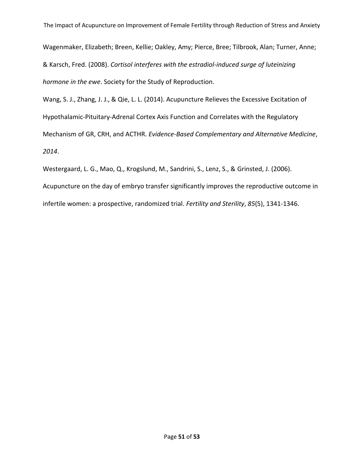Wagenmaker, Elizabeth; Breen, Kellie; Oakley, Amy; Pierce, Bree; Tilbrook, Alan; Turner, Anne; & Karsch, Fred. (2008). *Cortisol interferes with the estradiol-induced surge of luteinizing hormone in the ewe*. Society for the Study of Reproduction.

Wang, S. J., Zhang, J. J., & Qie, L. L. (2014). Acupuncture Relieves the Excessive Excitation of Hypothalamic-Pituitary-Adrenal Cortex Axis Function and Correlates with the Regulatory Mechanism of GR, CRH, and ACTHR. *Evidence-Based Complementary and Alternative Medicine*, *2014*.

Westergaard, L. G., Mao, Q., Krogslund, M., Sandrini, S., Lenz, S., & Grinsted, J. (2006).

Acupuncture on the day of embryo transfer significantly improves the reproductive outcome in infertile women: a prospective, randomized trial. *Fertility and Sterility*, *85*(5), 1341-1346.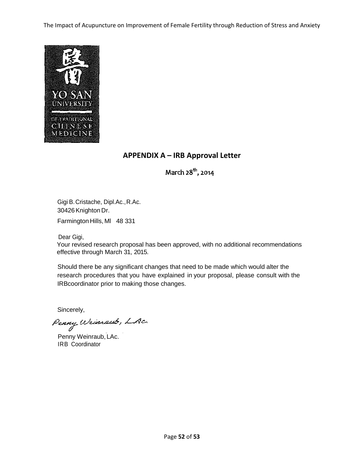

### **APPENDIX A – IRB Approval Letter**

March 28<sup>th</sup>, 2014

Gigi B.Cristache, Dipl.Ac.,R.Ac. 30426Knighton Dr.

Farmington Hills, MI 48 331

Dear Gigi,

Your revised research proposal has been approved, with no additional recommendations effective through March 31, 2015.

Should there be any significant changes that need to be made which would alter the research procedures that you have explained in your proposal, please consult with the IRBcoordinator prior to making those changes.

Sincerely,

Penny Wrinnaub, LAc.

Penny Weinraub, LAc. IRB Coordinator